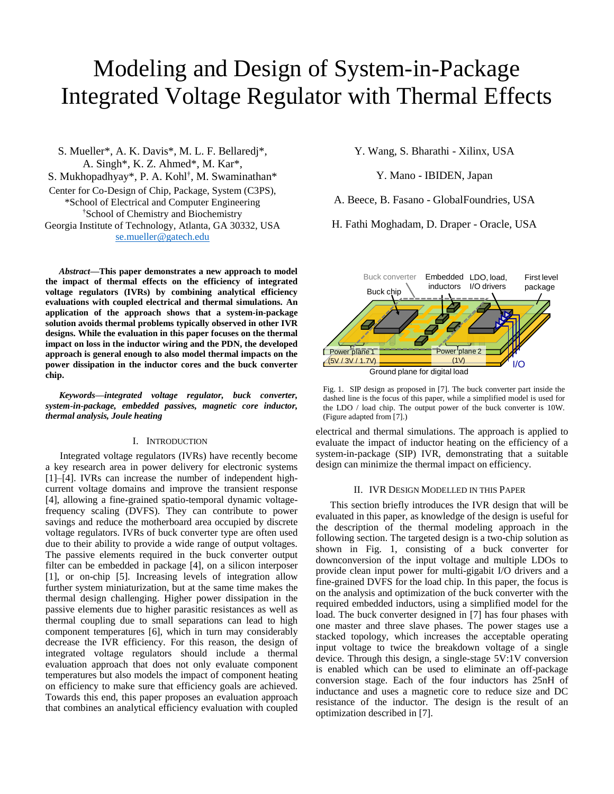# Modeling and Design of System-in-Package Integrated Voltage Regulator with Thermal Effects

S. Mueller\*, A. K. Davis\*, M. L. F. Bellaredj\*, A. Singh\*, K. Z. Ahmed\*, M. Kar\*, S. Mukhopadhyay\*, P. A. Kohl<sup>†</sup>, M. Swaminathan\* Center for Co-Design of Chip, Package, System (C3PS), \*School of Electrical and Computer Engineering †School of Chemistry and Biochemistry Georgia Institute of Technology, Atlanta, GA 30332, USA [se.mueller@gatech.edu](mailto:se.mueller@gatech.edu)

*Abstract***—This paper demonstrates a new approach to model the impact of thermal effects on the efficiency of integrated voltage regulators (IVRs) by combining analytical efficiency evaluations with coupled electrical and thermal simulations. An application of the approach shows that a system-in-package solution avoids thermal problems typically observed in other IVR designs. While the evaluation in this paper focuses on the thermal impact on loss in the inductor wiring and the PDN, the developed approach is general enough to also model thermal impacts on the power dissipation in the inductor cores and the buck converter chip.**

*Keywords—integrated voltage regulator, buck converter, system-in-package, embedded passives, magnetic core inductor, thermal analysis, Joule heating*

# I. INTRODUCTION

Integrated voltage regulators (IVRs) have recently become a key research area in power delivery for electronic systems [1]–[4]. IVRs can increase the number of independent highcurrent voltage domains and improve the transient response [4], allowing a fine-grained spatio-temporal dynamic voltagefrequency scaling (DVFS). They can contribute to power savings and reduce the motherboard area occupied by discrete voltage regulators. IVRs of buck converter type are often used due to their ability to provide a wide range of output voltages. The passive elements required in the buck converter output filter can be embedded in package [4], on a silicon interposer [1], or on-chip [5]. Increasing levels of integration allow further system miniaturization, but at the same time makes the thermal design challenging. Higher power dissipation in the passive elements due to higher parasitic resistances as well as thermal coupling due to small separations can lead to high component temperatures [6], which in turn may considerably decrease the IVR efficiency. For this reason, the design of integrated voltage regulators should include a thermal evaluation approach that does not only evaluate component temperatures but also models the impact of component heating on efficiency to make sure that efficiency goals are achieved. Towards this end, this paper proposes an evaluation approach that combines an analytical efficiency evaluation with coupled

Y. Wang, S. Bharathi - Xilinx, USA

Y. Mano - IBIDEN, Japan

A. Beece, B. Fasano - GlobalFoundries, USA

H. Fathi Moghadam, D. Draper - Oracle, USA



Fig. 1. SIP design as proposed in [7]. The buck converter part inside the dashed line is the focus of this paper, while a simplified model is used for the LDO / load chip. The output power of the buck converter is 10W. (Figure adapted from [7].)

electrical and thermal simulations. The approach is applied to evaluate the impact of inductor heating on the efficiency of a system-in-package (SIP) IVR, demonstrating that a suitable design can minimize the thermal impact on efficiency.

### II. IVR DESIGN MODELLED IN THIS PAPER

This section briefly introduces the IVR design that will be evaluated in this paper, as knowledge of the design is useful for the description of the thermal modeling approach in the following section. The targeted design is a two-chip solution as shown in Fig. 1, consisting of a buck converter for downconversion of the input voltage and multiple LDOs to provide clean input power for multi-gigabit I/O drivers and a fine-grained DVFS for the load chip. In this paper, the focus is on the analysis and optimization of the buck converter with the required embedded inductors, using a simplified model for the load. The buck converter designed in [7] has four phases with one master and three slave phases. The power stages use a stacked topology, which increases the acceptable operating input voltage to twice the breakdown voltage of a single device. Through this design, a single-stage 5V:1V conversion is enabled which can be used to eliminate an off-package conversion stage. Each of the four inductors has 25nH of inductance and uses a magnetic core to reduce size and DC resistance of the inductor. The design is the result of an optimization described in [7].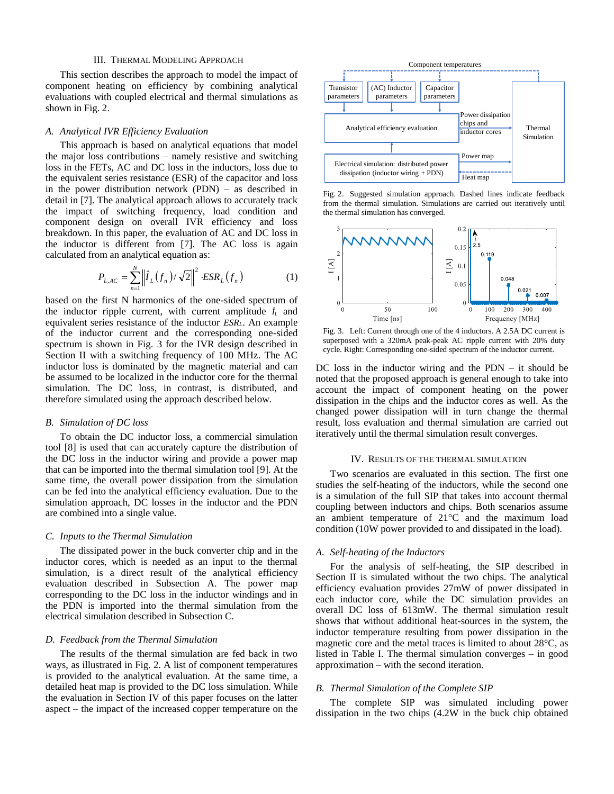# III. THERMAL MODELING APPROACH

This section describes the approach to model the impact of component heating on efficiency by combining analytical evaluations with coupled electrical and thermal simulations as shown in Fig. 2.

# *A. Analytical IVR Efficiency Evaluation*

This approach is based on analytical equations that model the major loss contributions – namely resistive and switching loss in the FETs, AC and DC loss in the inductors, loss due to the equivalent series resistance (ESR) of the capacitor and loss in the power distribution network (PDN) – as described in detail in [7]. The analytical approach allows to accurately track the impact of switching frequency, load condition and component design on overall IVR efficiency and loss breakdown. In this paper, the evaluation of AC and DC loss in the inductor is different from [7]. The AC loss is again calculated from an analytical equation as:

$$
P_{L,AC} = \sum_{n=1}^{N} \left\| \hat{I}_L(f_n) / \sqrt{2} \right\|^2 \cdot ESR_L(f_n)
$$
 (1)

based on the first N harmonics of the one-sided spectrum of the inductor ripple current, with current amplitude  $\hat{I}_L$  and equivalent series resistance of the inductor *ESRL*. An example of the inductor current and the corresponding one-sided spectrum is shown in Fig. 3 for the IVR design described in Section II with a switching frequency of 100 MHz. The AC inductor loss is dominated by the magnetic material and can be assumed to be localized in the inductor core for the thermal simulation. The DC loss, in contrast, is distributed, and therefore simulated using the approach described below.

#### *B. Simulation of DC loss*

To obtain the DC inductor loss, a commercial simulation tool [8] is used that can accurately capture the distribution of the DC loss in the inductor wiring and provide a power map that can be imported into the thermal simulation tool [9]. At the same time, the overall power dissipation from the simulation can be fed into the analytical efficiency evaluation. Due to the simulation approach, DC losses in the inductor and the PDN are combined into a single value.

#### *C. Inputs to the Thermal Simulation*

The dissipated power in the buck converter chip and in the inductor cores, which is needed as an input to the thermal simulation, is a direct result of the analytical efficiency evaluation described in Subsection A. The power map corresponding to the DC loss in the inductor windings and in the PDN is imported into the thermal simulation from the electrical simulation described in Subsection C.

#### *D. Feedback from the Thermal Simulation*

The results of the thermal simulation are fed back in two ways, as illustrated in Fig. 2. A list of component temperatures is provided to the analytical evaluation. At the same time, a detailed heat map is provided to the DC loss simulation. While the evaluation in Section IV of this paper focuses on the latter aspect – the impact of the increased copper temperature on the



Fig. 2. Suggested simulation approach. Dashed lines indicate feedback from the thermal simulation. Simulations are carried out iteratively until the thermal simulation has converged.



Fig. 3. Left: Current through one of the 4 inductors. A 2.5A DC current is superposed with a 320mA peak-peak AC ripple current with 20% duty cycle. Right: Corresponding one-sided spectrum of the inductor current.

DC loss in the inductor wiring and the  $PDN - it$  should be noted that the proposed approach is general enough to take into account the impact of component heating on the power dissipation in the chips and the inductor cores as well. As the changed power dissipation will in turn change the thermal result, loss evaluation and thermal simulation are carried out iteratively until the thermal simulation result converges.

## IV. RESULTS OF THE THERMAL SIMULATION

Two scenarios are evaluated in this section. The first one studies the self-heating of the inductors, while the second one is a simulation of the full SIP that takes into account thermal coupling between inductors and chips. Both scenarios assume an ambient temperature of 21°C and the maximum load condition (10W power provided to and dissipated in the load).

### *A. Self-heating of the Inductors*

For the analysis of self-heating, the SIP described in Section II is simulated without the two chips. The analytical efficiency evaluation provides 27mW of power dissipated in each inductor core, while the DC simulation provides an overall DC loss of 613mW. The thermal simulation result shows that without additional heat-sources in the system, the inductor temperature resulting from power dissipation in the magnetic core and the metal traces is limited to about 28°C, as listed in Table I. The thermal simulation converges – in good approximation – with the second iteration.

# *B. Thermal Simulation of the Complete SIP*

The complete SIP was simulated including power dissipation in the two chips (4.2W in the buck chip obtained